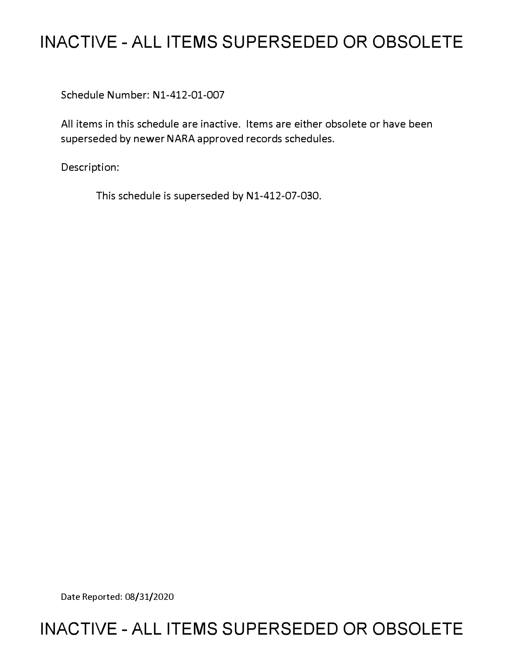# **INACTIVE - ALL ITEMS SUPERSEDED OR OBSOLETE**

Schedule Number: Nl-412-01-007

All items in this schedule are inactive. Items are either obsolete or have been superseded by newer NARA approved records schedules.

Description:

This schedule is superseded by N1-412-07-030.

Date Reported: 08/31/2020

# **INACTIVE - ALL ITEMS SUPERSEDED OR OBSOLETE**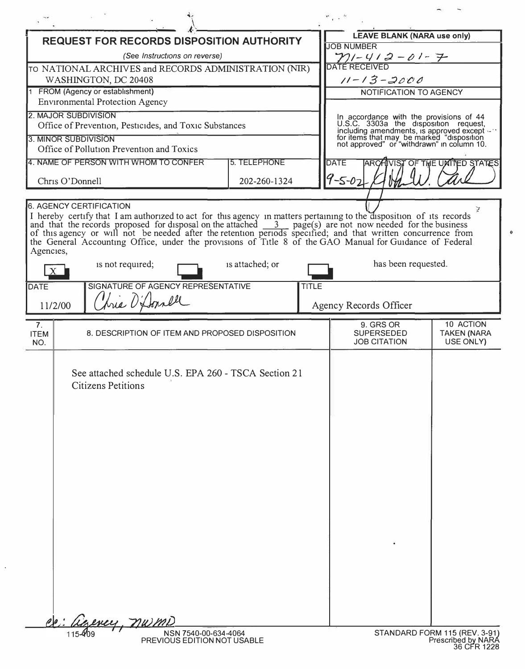| <b>REQUEST FOR RECORDS DISPOSITION AUTHORITY</b>      |                                                                                                                                                                                                                                                                                                                                                                                                                                                                                                                                 |                     |                                                                                                                                          | <b>LEAVE BLANK (NARA use only)</b>       |                                   |
|-------------------------------------------------------|---------------------------------------------------------------------------------------------------------------------------------------------------------------------------------------------------------------------------------------------------------------------------------------------------------------------------------------------------------------------------------------------------------------------------------------------------------------------------------------------------------------------------------|---------------------|------------------------------------------------------------------------------------------------------------------------------------------|------------------------------------------|-----------------------------------|
| (See Instructions on reverse)                         |                                                                                                                                                                                                                                                                                                                                                                                                                                                                                                                                 |                     |                                                                                                                                          | <b>JOB NUMBER</b><br>$71 - 412 - 01 - 7$ |                                   |
| TO NATIONAL ARCHIVES and RECORDS ADMINISTRATION (NIR) |                                                                                                                                                                                                                                                                                                                                                                                                                                                                                                                                 |                     |                                                                                                                                          | DATE RECEIVED                            |                                   |
| WASHINGTON, DC 20408                                  |                                                                                                                                                                                                                                                                                                                                                                                                                                                                                                                                 |                     |                                                                                                                                          | $11 - 13 - 2000$                         |                                   |
| 1 FROM (Agency or establishment)                      |                                                                                                                                                                                                                                                                                                                                                                                                                                                                                                                                 |                     |                                                                                                                                          | NOTIFICATION TO AGENCY                   |                                   |
|                                                       | <b>Environmental Protection Agency</b><br>2. MAJOR SUBDIVISION                                                                                                                                                                                                                                                                                                                                                                                                                                                                  |                     |                                                                                                                                          |                                          |                                   |
|                                                       | Office of Prevention, Pesticides, and Toxic Substances                                                                                                                                                                                                                                                                                                                                                                                                                                                                          |                     | In accordance with the provisions of 44<br>U.S.C. 3303a the disposition request,                                                         |                                          |                                   |
|                                                       | 3. MINOR SUBDIVISION                                                                                                                                                                                                                                                                                                                                                                                                                                                                                                            |                     | including amendments, is approved except with<br>for items that may be marked "disposition<br>not approved" or "withdrawn" in column 10. |                                          |                                   |
|                                                       | Office of Pollution Prevention and Toxics                                                                                                                                                                                                                                                                                                                                                                                                                                                                                       |                     |                                                                                                                                          |                                          |                                   |
|                                                       | 4. NAME OF PERSON WITH WHOM TO CONFER                                                                                                                                                                                                                                                                                                                                                                                                                                                                                           | <b>5. TELEPHONE</b> |                                                                                                                                          | <b>DATE</b>                              | <b>JUIST OF THE UMITED STATES</b> |
|                                                       | Chris O'Donnell                                                                                                                                                                                                                                                                                                                                                                                                                                                                                                                 | 202-260-1324        |                                                                                                                                          | $9 - 5 - 02$                             |                                   |
|                                                       |                                                                                                                                                                                                                                                                                                                                                                                                                                                                                                                                 |                     |                                                                                                                                          |                                          |                                   |
| Agencies,                                             | <b>6. AGENCY CERTIFICATION</b><br>I hereby certify that I am authorized to act for this agency in matters pertaining to the disposition of its records<br>and that the records proposed for disposal on the attached $\frac{3}{2}$ page(s) are not now needed for the business<br>of this agency or will not be needed after the retention periods specified; and that written concurrence from<br>the General Accounting Office, under the provisions of Title 8 of the GAO Manual for Guidance of Federal<br>is not required; | is attached; or     |                                                                                                                                          | has been requested.                      |                                   |
|                                                       |                                                                                                                                                                                                                                                                                                                                                                                                                                                                                                                                 |                     |                                                                                                                                          |                                          |                                   |
| <b>DATE</b>                                           | SIGNATURE OF AGENCY REPRESENTATIVE<br>Aria O'Donall<br>11/2/00                                                                                                                                                                                                                                                                                                                                                                                                                                                                  |                     | <b>TITLE</b>                                                                                                                             | Agency Records Officer                   |                                   |
| 7 <sub>1</sub>                                        |                                                                                                                                                                                                                                                                                                                                                                                                                                                                                                                                 |                     |                                                                                                                                          | 9. GRS OR                                | 10 ACTION                         |
| <b>ITEM</b><br>NO.                                    | 8. DESCRIPTION OF ITEM AND PROPOSED DISPOSITION                                                                                                                                                                                                                                                                                                                                                                                                                                                                                 |                     |                                                                                                                                          | <b>SUPERSEDED</b><br><b>JOB CITATION</b> | <b>TAKEN (NARA</b><br>USE ONLY)   |
|                                                       | See attached schedule U.S. EPA 260 - TSCA Section 21<br><b>Citizens Petitions</b>                                                                                                                                                                                                                                                                                                                                                                                                                                               |                     |                                                                                                                                          |                                          |                                   |
|                                                       | izency, nwmD<br>NSN 7540-00-634-4064                                                                                                                                                                                                                                                                                                                                                                                                                                                                                            |                     |                                                                                                                                          |                                          | STANDARD FORM 115 (REV. 3-91)     |
|                                                       | PREVIOUS EDITION NOT USABLE                                                                                                                                                                                                                                                                                                                                                                                                                                                                                                     |                     |                                                                                                                                          |                                          | Prescribed by NARA<br>36 CFR 1228 |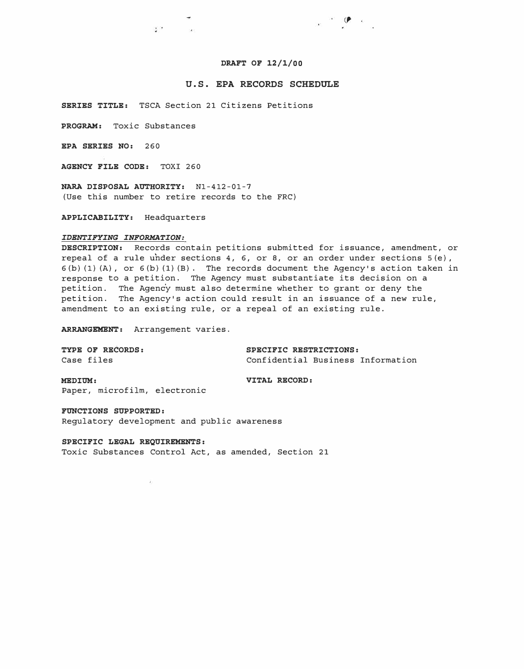### **DRAFT OF 12/1/00**

## **U.S. EPA RECORDS SCHEDULE**

**SERIES TITLE:** TSCA Section 21 Citizens Petitions

 $\mathcal{L}^{\text{max}}$ 

**PROGRAM:** Toxic Substances

**EPA SERIES NO:** 260

**AGENCY FILE CODE:** TOXI 260

**NARA DISPOSAL AUTHORITY:** Nl-412-01-7 (Use this number to retire records to the FRC)

**APPLICABILITY:** Headquarters

### *IDENTIFYING INFORMATION:*

**DESCRIPTION:** Records contain petitions submitted for issuance, amendment, or repeal of a rule under sections  $4, 6,$  or  $8,$  or an order under sections  $5(e)$ ,  $6(b)$  (1) (A), or  $6(b)$  (1) (B). The records document the Agency's action taken in response to a petition. The Agency must substantiate its decision on a petition. The Agency must also determine whether to grant or deny the petition. The Agency's action could result in an issuance of a new rule, amendment to an existing rule, or a repeal of an existing rule.

**ARRANGEMENT:** Arrangement varies.

**TYPE OF RECORDS:**  Case files

**SPECIFIC RESTRICTIONS:**  Confidential Business Information

 $\cdot$   $\cdot$   $\cdot$   $\cdot$ 

**MEDIUM:**  Paper, microfilm, electronic **VITAL RECORD:** 

**FUNCTIONS SUPPORTED:**  Regulatory development and public awareness

 $\mathcal{L}$ 

**SPECIFIC LEGAL REQUIREMENTS:**  Toxic Substances Control Act, as amended, Section 21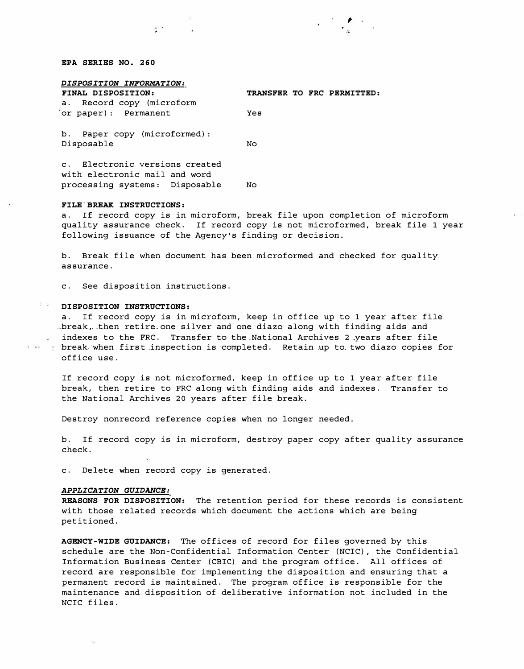### *EPA SERIES NO. 260*

| DISPOSITION INFORMATION:                                        |                            |  |  |  |  |  |
|-----------------------------------------------------------------|----------------------------|--|--|--|--|--|
| FINAL DISPOSITION:                                              | TRANSFER TO FRC PERMITTED: |  |  |  |  |  |
| a. Record copy (microform                                       |                            |  |  |  |  |  |
| or paper): Permanent                                            | Yes                        |  |  |  |  |  |
| b. Paper copy (microformed):                                    |                            |  |  |  |  |  |
| Disposable                                                      | No                         |  |  |  |  |  |
| c. Electronic versions created<br>with electronic mail and word |                            |  |  |  |  |  |

# processing systems: Disposable No

 $\mathcal{L}$ 

## *FILE-BREAK INSTRUCTIONS:*

a. If record copy is in microform, break file upon completion of microform quality assurance check. If record copy is not microformed, break file 1 year following issuance of the Agency's finding or decision.

b. Break file when document has been microformed and checked for quality. assurance.

c. See disposition instructions.

### *DISPOSITION INSTRUCTIONS:*

a. If record copy is in microform, keep in office up to 1 year after file  $-$ break, then retire one silver and one diazo along with finding aids and indexes to the FRC. Transfer to the National Archives 2 years after file  $i$  indexes to the FRC. Transfer to the completed. Retain up to two diazo copies for office use.

If record copy is not microformed, keep in office up to 1 year after file break, then retire to FRC along with finding aids and indexes. Transfer to the National Archives 20 years after file break.

Destroy nonrecord reference copies when no longer needed.

b. If record copy is in microform, destroy paper copy after quality assurance check.

c. Delete when record copy is generated.

#### *APPLICATION GUIDANCE:*

*REASONS FOR DISPOSITION:* The retention period for these records is consistent with those related records which document the actions which are being petitioned.

*AGENCY-WIDE GUIDANCE:* The offices of record for files governed by this schedule are the Non-Confidential Information Center (NCIC), the Confidential Information Business Center (CBIC) and the program office. All offices of record are responsible for implementing the disposition and ensuring that a permanent record is maintained. The program office is responsible for the maintenance and disposition of deliberative information not included in the NCIC files.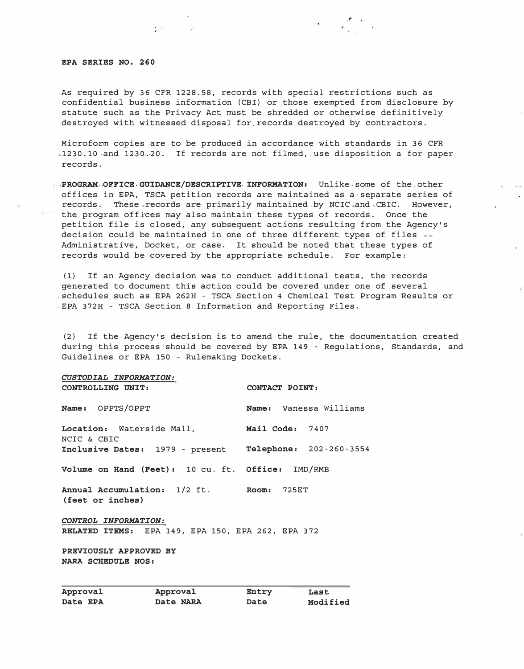### *EPA SERIES NO. 260*

 $\Delta \mathcal{F} = 0$  and  $\Delta \mathcal{F}$ 

As required by 36 CFR 1228.58, records with special restrictions such as confidential business information (CBI) or those exempted from disclosure by statute such as the Privacy Act must be shredded or otherwise definitively destroyed with witnessed disposal for records destroyed by contractors.

Microform copies are to be produced in accordance with standards in 36 CFR  $1230.10$  and 1230.20. If records are not filmed, use disposition a for paper records.

 $-36 - 34583$ 

*,PROGRAM, ,OFFICE. GUIDANCE/DESCRIPTIVE- INFORMATION:* Unlike-, some of the. other offices in EPA, TSCA petition records are maintained as a•separate series of records. These records are primarily maintained by NCIC and CBIC. However, a a the program offices may also maintain these types of records. Once the petition file is closed, any subsequent actions resulting from the Agency's decision could be maintained in one of three different types of files Administrative, Docket, or case. It should be noted that these types of records would be covered by the appropriate schedule. For example:

(1) If an Agency decision was to conduct additional tests, the records generated to document this action could be covered under one of .several .schedules such as EPA 262H - TSCA Section 4 Chemical Test Program Results or .EPA 372H - TSCA Section 8- Information and Reporting Files.

(2) If the Agency's decision is to amend the rule, the documentation created during this process·should be covered by EPA 149 - Regulations, Standards, and Guidelines or EPA 150 - Rulemaking Dockets.

*CUSTODIAL INFORMATION: CONTROLLING UNIT: CONTACT POINT: Name:* OPPTS/OPPT *Name:* Vanessa Williams *Location:* Waterside Mall, *Mail Code:* 7407 NCIC & CBIC *Inclusive Dates:* 1979 - present *Telephone:* 202-260-3554 *Volume on Hand (Feet):* 10 cu. ft. *Office:* IMD/RMB *Annual Accumulation:* 1/2 ft. *Room:* 725ET *(feet or inches) CONTROL INFORMATION: RELATED ITEMS:* EPA 149, EPA 150, EPA 262, EPA 372 *PREVIOUSLY APPROVED BY NARA SCHEDULE NOS:* 

| Approval | Approval  | Entry | Last     |
|----------|-----------|-------|----------|
| Date EPA | Date NARA | Date  | Modified |